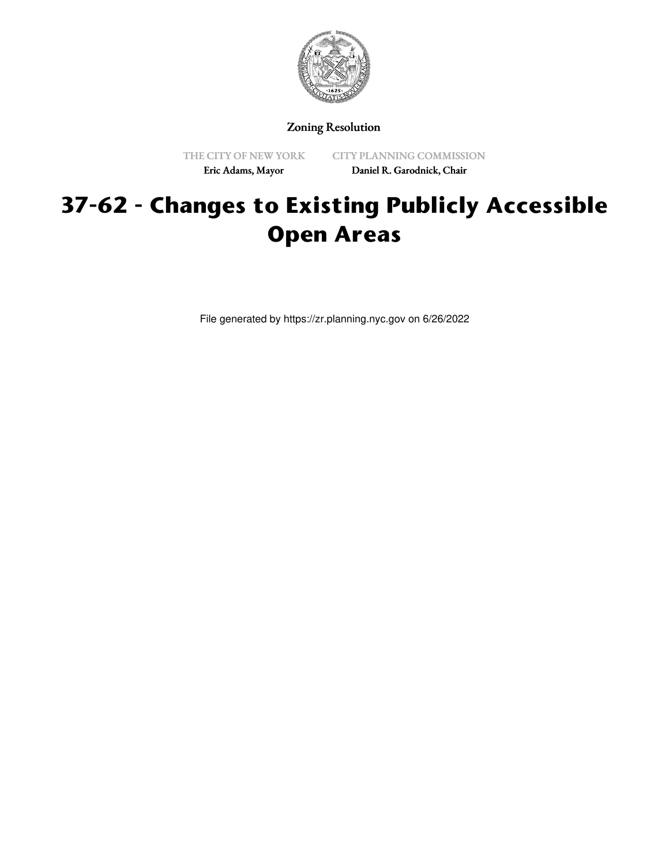

Zoning Resolution

THE CITY OF NEW YORK Eric Adams, Mayor

CITY PLANNING COMMISSION Daniel R. Garodnick, Chair

# **37-62 - Changes to Existing Publicly Accessible Open Areas**

File generated by https://zr.planning.nyc.gov on 6/26/2022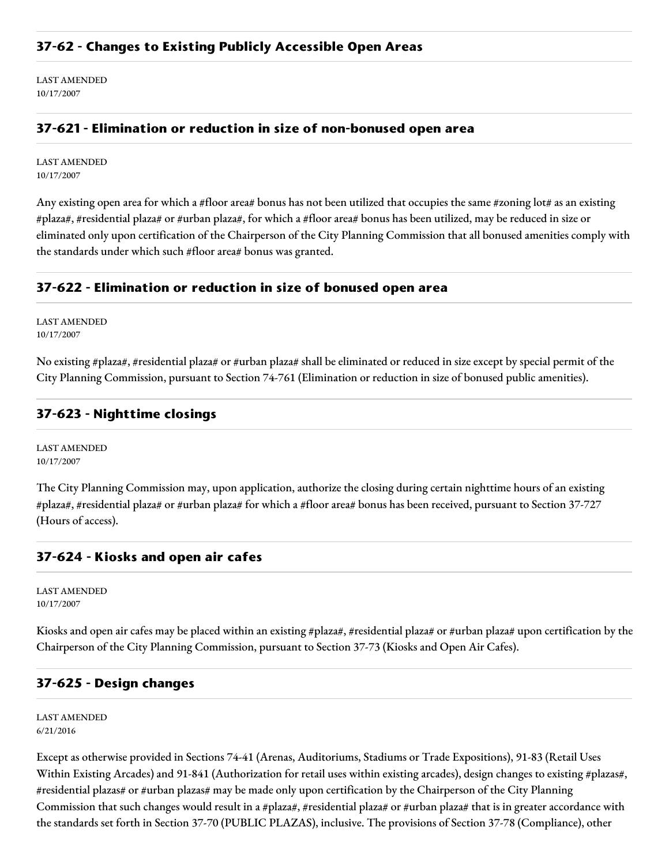LAST AMENDED 10/17/2007

#### **37-621 - Elimination or reduction in size of non-bonused open area**

LAST AMENDED 10/17/2007

Any existing open area for which a #floor area# bonus has not been utilized that occupies the same #zoning lot# as an existing #plaza#, #residential plaza# or #urban plaza#, for which a #floor area# bonus has been utilized, may be reduced in size or eliminated only upon certification of the Chairperson of the City Planning Commission that all bonused amenities comply with the standards under which such #floor area# bonus was granted.

#### **37-622 - Elimination or reduction in size of bonused open area**

LAST AMENDED 10/17/2007

No existing #plaza#, #residential plaza# or #urban plaza# shall be eliminated or reduced in size except by special permit of the City Planning Commission, pursuant to Section 74-761 (Elimination or reduction in size of bonused public amenities).

### **37-623 - Nighttime closings**

LAST AMENDED 10/17/2007

The City Planning Commission may, upon application, authorize the closing during certain nighttime hours of an existing #plaza#, #residential plaza# or #urban plaza# for which a #floor area# bonus has been received, pursuant to Section 37-727 (Hours of access).

#### **37-624 - Kiosks and open air cafes**

LAST AMENDED 10/17/2007

Kiosks and open air cafes may be placed within an existing #plaza#, #residential plaza# or #urban plaza# upon certification by the Chairperson of the City Planning Commission, pursuant to Section 37-73 (Kiosks and Open Air Cafes).

#### **37-625 - Design changes**

LAST AMENDED 6/21/2016

Except as otherwise provided in Sections 74-41 (Arenas, Auditoriums, Stadiums or Trade Expositions), 91-83 (Retail Uses Within Existing Arcades) and 91-841 (Authorization for retail uses within existing arcades), design changes to existing #plazas#, #residential plazas# or #urban plazas# may be made only upon certification by the Chairperson of the City Planning Commission that such changes would result in a #plaza#, #residential plaza# or #urban plaza# that is in greater accordance with the standards set forth in Section 37-70 (PUBLIC PLAZAS), inclusive. The provisions of Section 37-78 (Compliance), other